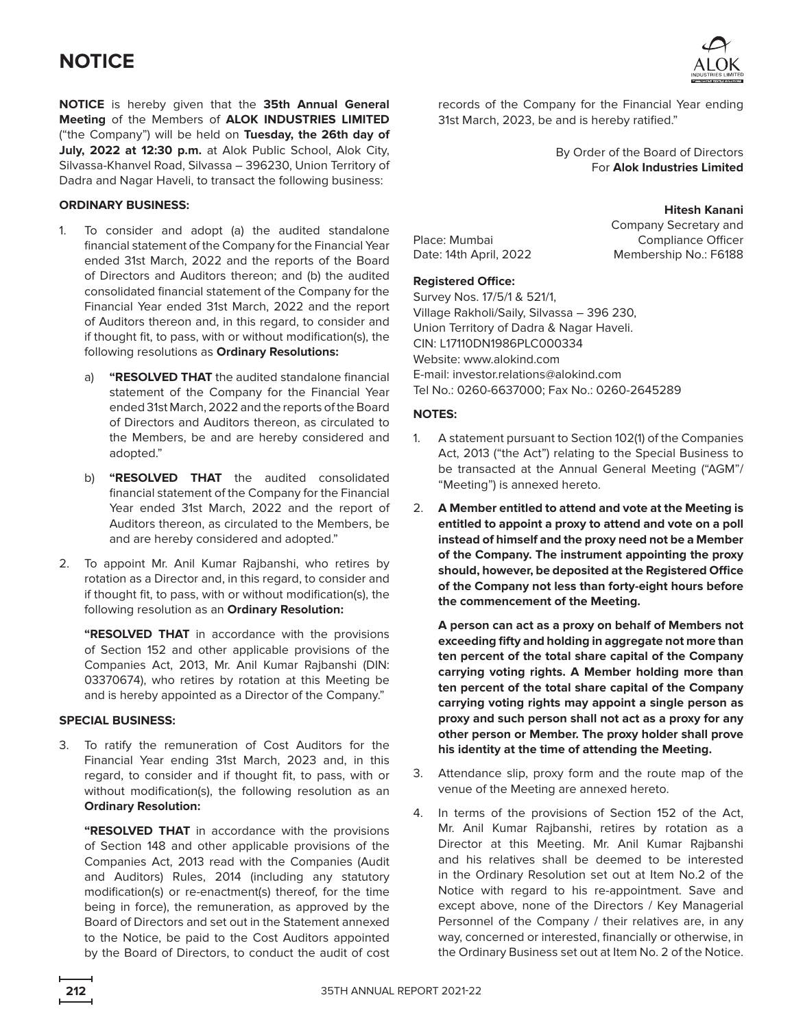**NOTICE** is hereby given that the **35th Annual General Meeting** of the Members of **ALOK INDUSTRIES LIMITED** ("the Company") will be held on **Tuesday, the 26th day of July, 2022 at 12:30 p.m.** at Alok Public School, Alok City, Silvassa-Khanvel Road, Silvassa – 396230, Union Territory of Dadra and Nagar Haveli, to transact the following business:

### **ORDINARY BUSINESS:**

- 1. To consider and adopt (a) the audited standalone financial statement of the Company for the Financial Year ended 31st March, 2022 and the reports of the Board of Directors and Auditors thereon; and (b) the audited consolidated financial statement of the Company for the Financial Year ended 31st March, 2022 and the report of Auditors thereon and, in this regard, to consider and if thought fit, to pass, with or without modification(s), the following resolutions as **Ordinary Resolutions:**
	- a) **"RESOLVED THAT** the audited standalone financial statement of the Company for the Financial Year ended 31st March, 2022 and the reports of the Board of Directors and Auditors thereon, as circulated to the Members, be and are hereby considered and adopted."
	- b) **"RESOLVED THAT** the audited consolidated financial statement of the Company for the Financial Year ended 31st March, 2022 and the report of Auditors thereon, as circulated to the Members, be and are hereby considered and adopted."
- 2. To appoint Mr. Anil Kumar Rajbanshi, who retires by rotation as a Director and, in this regard, to consider and if thought fit, to pass, with or without modification(s), the following resolution as an **Ordinary Resolution:**

**"RESOLVED THAT** in accordance with the provisions of Section 152 and other applicable provisions of the Companies Act, 2013, Mr. Anil Kumar Rajbanshi (DIN: 03370674), who retires by rotation at this Meeting be and is hereby appointed as a Director of the Company."

### **SPECIAL BUSINESS:**

3. To ratify the remuneration of Cost Auditors for the Financial Year ending 31st March, 2023 and, in this regard, to consider and if thought fit, to pass, with or without modification(s), the following resolution as an **Ordinary Resolution:**

**"RESOLVED THAT** in accordance with the provisions of Section 148 and other applicable provisions of the Companies Act, 2013 read with the Companies (Audit and Auditors) Rules, 2014 (including any statutory modification(s) or re-enactment(s) thereof, for the time being in force), the remuneration, as approved by the Board of Directors and set out in the Statement annexed to the Notice, be paid to the Cost Auditors appointed by the Board of Directors, to conduct the audit of cost



records of the Company for the Financial Year ending 31st March, 2023, be and is hereby ratified."

> By Order of the Board of Directors For **Alok Industries Limited**

Place: Mumbai Date: 14th April, 2022

**Hitesh Kanani** Company Secretary and Compliance Officer Membership No.: F6188

### **Registered Office:**

Survey Nos. 17/5/1 & 521/1, Village Rakholi/Saily, Silvassa – 396 230, Union Territory of Dadra & Nagar Haveli. CIN: L17110DN1986PLC000334 Website: <www.alokind.com> E-mail: [investor.relations@alokind.com](mailto:investor.relations@alokind.com) Tel No.: 0260-6637000; Fax No.: 0260-2645289

### **NOTES:**

- 1. A statement pursuant to Section 102(1) of the Companies Act, 2013 ("the Act") relating to the Special Business to be transacted at the Annual General Meeting ("AGM"/ "Meeting") is annexed hereto.
- 2. **A Member entitled to attend and vote at the Meeting is entitled to appoint a proxy to attend and vote on a poll instead of himself and the proxy need not be a Member of the Company. The instrument appointing the proxy should, however, be deposited at the Registered Office of the Company not less than forty-eight hours before the commencement of the Meeting.**

**A person can act as a proxy on behalf of Members not exceeding fifty and holding in aggregate not more than ten percent of the total share capital of the Company carrying voting rights. A Member holding more than ten percent of the total share capital of the Company carrying voting rights may appoint a single person as proxy and such person shall not act as a proxy for any other person or Member. The proxy holder shall prove his identity at the time of attending the Meeting.**

- 3. Attendance slip, proxy form and the route map of the venue of the Meeting are annexed hereto.
- 4. In terms of the provisions of Section 152 of the Act, Mr. Anil Kumar Rajbanshi, retires by rotation as a Director at this Meeting. Mr. Anil Kumar Rajbanshi and his relatives shall be deemed to be interested in the Ordinary Resolution set out at Item No.2 of the Notice with regard to his re-appointment. Save and except above, none of the Directors / Key Managerial Personnel of the Company / their relatives are, in any way, concerned or interested, financially or otherwise, in the Ordinary Business set out at Item No. 2 of the Notice.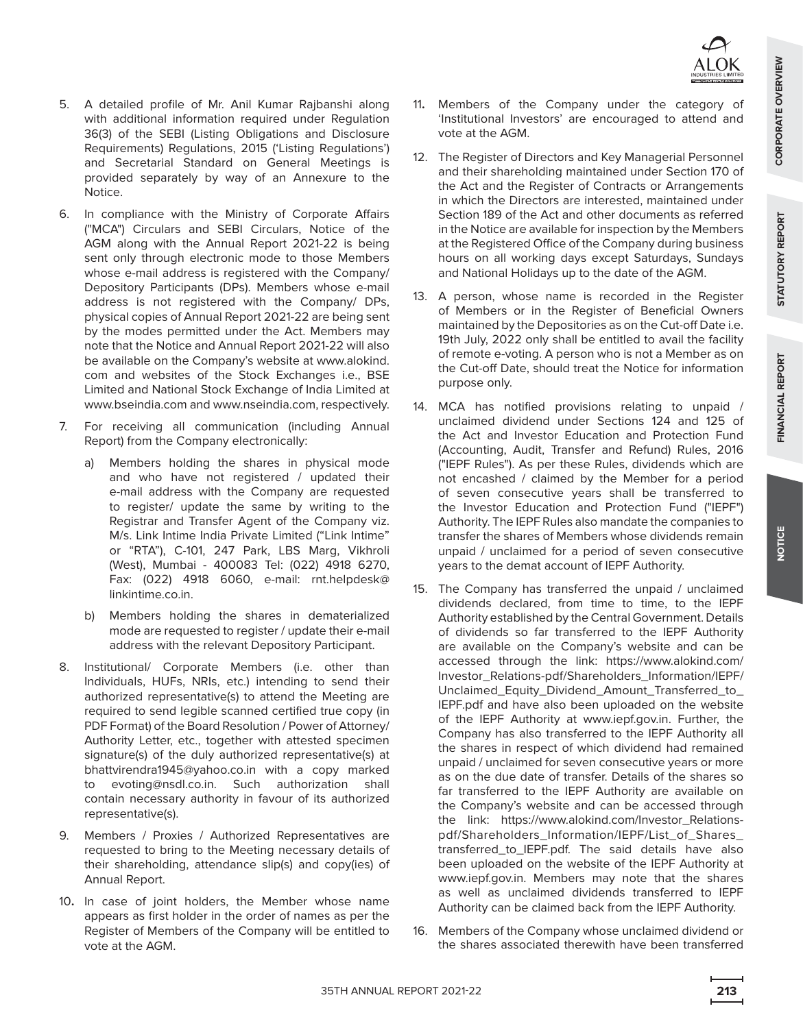- 5. A detailed profile of Mr. Anil Kumar Rajbanshi along with additional information required under Regulation 36(3) of the SEBI (Listing Obligations and Disclosure Requirements) Regulations, 2015 ('Listing Regulations') and Secretarial Standard on General Meetings is provided separately by way of an Annexure to the Notice.
- 6. In compliance with the Ministry of Corporate Affairs ("MCA") Circulars and SEBI Circulars, Notice of the AGM along with the Annual Report 2021-22 is being sent only through electronic mode to those Members whose e-mail address is registered with the Company/ Depository Participants (DPs). Members whose e-mail address is not registered with the Company/ DPs, physical copies of Annual Report 2021-22 are being sent by the modes permitted under the Act. Members may note that the Notice and Annual Report 2021-22 will also be available on the Company's website at [www.alokind.](www.alokind.com) [com](www.alokind.com) and websites of the Stock Exchanges i.e., BSE Limited and National Stock Exchange of India Limited at <www.bseindia.com> and<www.nseindia.com>, respectively.
- 7. For receiving all communication (including Annual Report) from the Company electronically:
	- a) Members holding the shares in physical mode and who have not registered / updated their e-mail address with the Company are requested to register/ update the same by writing to the Registrar and Transfer Agent of the Company viz. M/s. Link Intime India Private Limited ("Link Intime" or "RTA"), C-101, 247 Park, LBS Marg, Vikhroli (West), Mumbai - 400083 Tel: (022) 4918 6270, Fax: (022) 4918 6060, e-mail: [rnt.helpdesk@](mailto:rnt.helpdesk@linkintime.co.in) [linkintime.co.in.](mailto:rnt.helpdesk@linkintime.co.in)
	- b) Members holding the shares in dematerialized mode are requested to register / update their e-mail address with the relevant Depository Participant.
- 8. Institutional/ Corporate Members (i.e. other than Individuals, HUFs, NRIs, etc.) intending to send their authorized representative(s) to attend the Meeting are required to send legible scanned certified true copy (in PDF Format) of the Board Resolution / Power of Attorney/ Authority Letter, etc., together with attested specimen signature(s) of the duly authorized representative(s) at [bhattvirendra1945@yahoo.co.in](mailto:bhattvirendra1945@yahoo.co.in) with a copy marked to [evoting@nsdl.co.in](mailto:evoting@nsdl.co.in). Such authorization shall contain necessary authority in favour of its authorized representative(s).
- 9. Members / Proxies / Authorized Representatives are requested to bring to the Meeting necessary details of their shareholding, attendance slip(s) and copy(ies) of Annual Report.
- 10**.** In case of joint holders, the Member whose name appears as first holder in the order of names as per the Register of Members of the Company will be entitled to vote at the AGM.
- 11**.** Members of the Company under the category of 'Institutional Investors' are encouraged to attend and vote at the AGM.
- 12. The Register of Directors and Key Managerial Personnel and their shareholding maintained under Section 170 of the Act and the Register of Contracts or Arrangements in which the Directors are interested, maintained under Section 189 of the Act and other documents as referred in the Notice are available for inspection by the Members at the Registered Office of the Company during business hours on all working days except Saturdays, Sundays and National Holidays up to the date of the AGM.
- 13. A person, whose name is recorded in the Register of Members or in the Register of Beneficial Owners maintained by the Depositories as on the Cut-off Date i.e. 19th July, 2022 only shall be entitled to avail the facility of remote e-voting. A person who is not a Member as on the Cut-off Date, should treat the Notice for information purpose only.
- 14. MCA has notified provisions relating to unpaid / unclaimed dividend under Sections 124 and 125 of the Act and Investor Education and Protection Fund (Accounting, Audit, Transfer and Refund) Rules, 2016 ("IEPF Rules"). As per these Rules, dividends which are not encashed / claimed by the Member for a period of seven consecutive years shall be transferred to the Investor Education and Protection Fund ("IEPF") Authority. The IEPF Rules also mandate the companies to transfer the shares of Members whose dividends remain unpaid / unclaimed for a period of seven consecutive years to the demat account of IEPF Authority.
- 15. The Company has transferred the unpaid / unclaimed dividends declared, from time to time, to the IEPF Authority established by the Central Government. Details of dividends so far transferred to the IEPF Authority are available on the Company's website and can be accessed through the link: [https://www.alokind.com/](https://www.alokind.com/Investor_Relations-pdf/Shareholders_Information/IEPF/Unclaimed_Equity_Dividend_Amount_Transferred_to_IEPF.pdf) [Investor\\_Relations-pdf/Shareholders\\_Information/IEPF/](https://www.alokind.com/Investor_Relations-pdf/Shareholders_Information/IEPF/Unclaimed_Equity_Dividend_Amount_Transferred_to_IEPF.pdf) [Unclaimed\\_Equity\\_Dividend\\_Amount\\_Transferred\\_to\\_](https://www.alokind.com/Investor_Relations-pdf/Shareholders_Information/IEPF/Unclaimed_Equity_Dividend_Amount_Transferred_to_IEPF.pdf) [IEPF.pdf](https://www.alokind.com/Investor_Relations-pdf/Shareholders_Information/IEPF/Unclaimed_Equity_Dividend_Amount_Transferred_to_IEPF.pdf) and have also been uploaded on the website of the IEPF Authority at [www.iepf.gov.in.](http://www.iepf.gov.in) Further, the Company has also transferred to the IEPF Authority all the shares in respect of which dividend had remained unpaid / unclaimed for seven consecutive years or more as on the due date of transfer. Details of the shares so far transferred to the IEPF Authority are available on the Company's website and can be accessed through the link: [https://www.alokind.com/Investor\\_Relations](https://www.alokind.com/Investor_Relations-pdf/Shareholders_Information/IEPF/List_of_Shares_transferred_to_IEPF.pdf)[pdf/Shareholders\\_Information/IEPF/List\\_of\\_Shares\\_](https://www.alokind.com/Investor_Relations-pdf/Shareholders_Information/IEPF/List_of_Shares_transferred_to_IEPF.pdf) [transferred\\_to\\_IEPF.pdf](https://www.alokind.com/Investor_Relations-pdf/Shareholders_Information/IEPF/List_of_Shares_transferred_to_IEPF.pdf). The said details have also been uploaded on the website of the IEPF Authority at [www.iepf.gov.in.](www.iepf.gov.in) Members may note that the shares as well as unclaimed dividends transferred to IEPF Authority can be claimed back from the IEPF Authority.
- 16. Members of the Company whose unclaimed dividend or the shares associated therewith have been transferred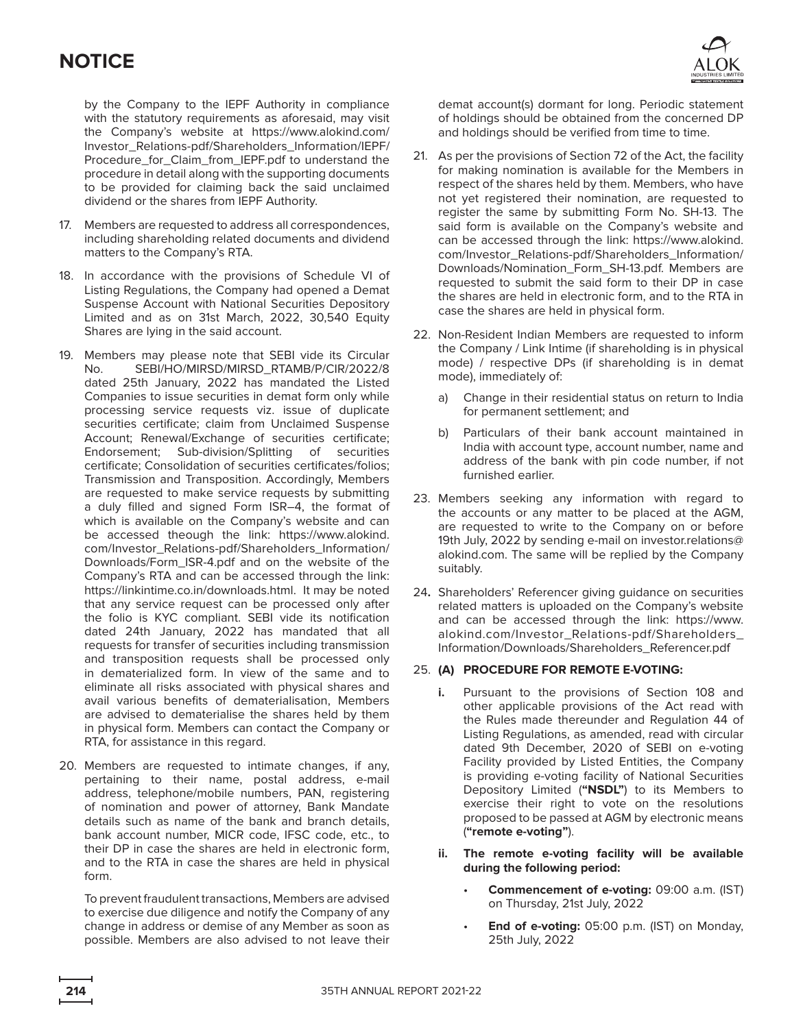by the Company to the IEPF Authority in compliance with the statutory requirements as aforesaid, may visit the Company's website at [https://www.alokind.com/](https://www.alokind.com/Investor_Relations-pdf/Shareholders_Information/IEPF/Procedure_for_Claim_from_IEPF.pdf) [Investor\\_Relations-pdf/Shareholders\\_Information/IEPF/](https://www.alokind.com/Investor_Relations-pdf/Shareholders_Information/IEPF/Procedure_for_Claim_from_IEPF.pdf) [Procedure\\_for\\_Claim\\_from\\_IEPF.pdf](https://www.alokind.com/Investor_Relations-pdf/Shareholders_Information/IEPF/Procedure_for_Claim_from_IEPF.pdf) to understand the procedure in detail along with the supporting documents to be provided for claiming back the said unclaimed dividend or the shares from IEPF Authority.

- 17. Members are requested to address all correspondences, including shareholding related documents and dividend matters to the Company's RTA.
- 18. In accordance with the provisions of Schedule VI of Listing Regulations, the Company had opened a Demat Suspense Account with National Securities Depository Limited and as on 31st March, 2022, 30,540 Equity Shares are lying in the said account.
- 19. Members may please note that SEBI vide its Circular No. SEBI/HO/MIRSD/MIRSD\_RTAMB/P/CIR/2022/8 dated 25th January, 2022 has mandated the Listed Companies to issue securities in demat form only while processing service requests viz. issue of duplicate securities certificate; claim from Unclaimed Suspense Account; Renewal/Exchange of securities certificate; Endorsement; Sub-division/Splitting of securities certificate; Consolidation of securities certificates/folios; Transmission and Transposition. Accordingly, Members are requested to make service requests by submitting a duly filled and signed Form ISR–4, the format of which is available on the Company's website and can be accessed theough the link: [https://www.alokind.](https://www.alokind.com/Investor_Relations-pdf/Shareholders_Information/Downloads/Form_ISR-4.pdf) [com/Investor\\_Relations-pdf/Shareholders\\_Information/](https://www.alokind.com/Investor_Relations-pdf/Shareholders_Information/Downloads/Form_ISR-4.pdf) [Downloads/Form\\_ISR-4.pdf](https://www.alokind.com/Investor_Relations-pdf/Shareholders_Information/Downloads/Form_ISR-4.pdf) and on the website of the Company's RTA and can be accessed through the link: <https://linkintime.co.in/downloads.html>. It may be noted that any service request can be processed only after the folio is KYC compliant. SEBI vide its notification dated 24th January, 2022 has mandated that all requests for transfer of securities including transmission and transposition requests shall be processed only in dematerialized form. In view of the same and to eliminate all risks associated with physical shares and avail various benefits of dematerialisation, Members are advised to dematerialise the shares held by them in physical form. Members can contact the Company or RTA, for assistance in this regard.
- 20. Members are requested to intimate changes, if any, pertaining to their name, postal address, e-mail address, telephone/mobile numbers, PAN, registering of nomination and power of attorney, Bank Mandate details such as name of the bank and branch details, bank account number, MICR code, IFSC code, etc., to their DP in case the shares are held in electronic form, and to the RTA in case the shares are held in physical form.

To prevent fraudulent transactions, Members are advised to exercise due diligence and notify the Company of any change in address or demise of any Member as soon as possible. Members are also advised to not leave their



demat account(s) dormant for long. Periodic statement of holdings should be obtained from the concerned DP and holdings should be verified from time to time.

- 21. As per the provisions of Section 72 of the Act, the facility for making nomination is available for the Members in respect of the shares held by them. Members, who have not yet registered their nomination, are requested to register the same by submitting Form No. SH-13. The said form is available on the Company's website and can be accessed through the link: [https://www.alokind.](https://www.alokind.com/Investor_Relations-pdf/Shareholders_Information/Downloads/Nomination_Form_SH-13.pdf) [com/Investor\\_Relations-pdf/Shareholders\\_Information/](https://www.alokind.com/Investor_Relations-pdf/Shareholders_Information/Downloads/Nomination_Form_SH-13.pdf) [Downloads/Nomination\\_Form\\_SH-13.pdf](https://www.alokind.com/Investor_Relations-pdf/Shareholders_Information/Downloads/Nomination_Form_SH-13.pdf). Members are requested to submit the said form to their DP in case the shares are held in electronic form, and to the RTA in case the shares are held in physical form.
- 22. Non-Resident Indian Members are requested to inform the Company / Link Intime (if shareholding is in physical mode) / respective DPs (if shareholding is in demat mode), immediately of:
	- a) Change in their residential status on return to India for permanent settlement; and
	- b) Particulars of their bank account maintained in India with account type, account number, name and address of the bank with pin code number, if not furnished earlier.
- 23. Members seeking any information with regard to the accounts or any matter to be placed at the AGM, are requested to write to the Company on or before 19th July, 2022 by sending e-mail on [investor.relations@](mailto:investor.relations@alokind.com) [alokind.com](mailto:investor.relations@alokind.com). The same will be replied by the Company suitably.
- 24**.** Shareholders' Referencer giving guidance on securities related matters is uploaded on the Company's website and can be accessed through the link: [https://www.](https://www.alokind.com/Investor_Relations-pdf/Shareholders_Information/Downloads/Shareholders_Referencer.pdf) [alokind.com/Investor\\_Relations-pdf/Shareholders\\_](https://www.alokind.com/Investor_Relations-pdf/Shareholders_Information/Downloads/Shareholders_Referencer.pdf) [Information/Downloads/Shareholders\\_Referencer.pdf](https://www.alokind.com/Investor_Relations-pdf/Shareholders_Information/Downloads/Shareholders_Referencer.pdf)

### 25. **(A) PROCEDURE FOR REMOTE E-VOTING:**

- **i.** Pursuant to the provisions of Section 108 and other applicable provisions of the Act read with the Rules made thereunder and Regulation 44 of Listing Regulations, as amended, read with circular dated 9th December, 2020 of SEBI on e-voting Facility provided by Listed Entities, the Company is providing e-voting facility of National Securities Depository Limited (**"NSDL"**) to its Members to exercise their right to vote on the resolutions proposed to be passed at AGM by electronic means (**"remote e-voting"**).
- **ii. The remote e-voting facility will be available during the following period:**
	- **Commencement of e-voting: 09:00 a.m. (IST)** on Thursday, 21st July, 2022
	- • **End of e-voting:** 05:00 p.m. (IST) on Monday, 25th July, 2022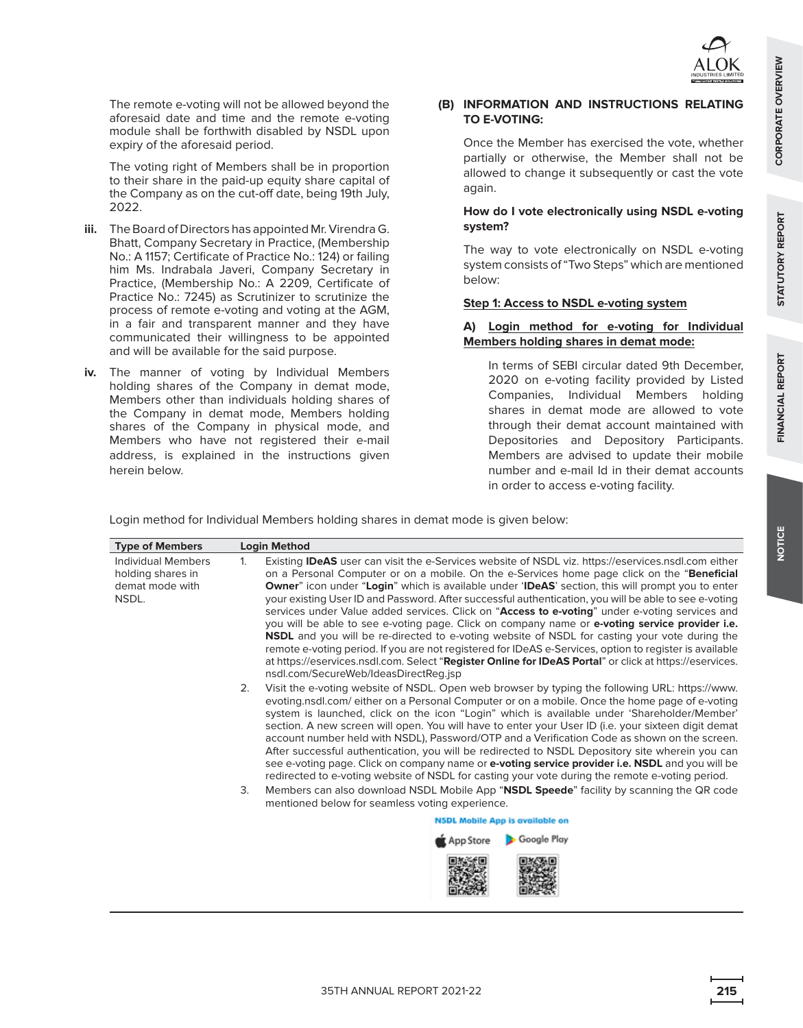**NOTICE**

 The remote e-voting will not be allowed beyond the aforesaid date and time and the remote e-voting module shall be forthwith disabled by NSDL upon expiry of the aforesaid period.

 The voting right of Members shall be in proportion to their share in the paid-up equity share capital of the Company as on the cut-off date, being 19th July, 2022.

- **iii.** The Board of Directors has appointed Mr. Virendra G. Bhatt, Company Secretary in Practice, (Membership No.: A 1157; Certificate of Practice No.: 124) or failing him Ms. Indrabala Javeri, Company Secretary in Practice, (Membership No.: A 2209, Certificate of Practice No.: 7245) as Scrutinizer to scrutinize the process of remote e-voting and voting at the AGM, in a fair and transparent manner and they have communicated their willingness to be appointed and will be available for the said purpose.
- **iv.** The manner of voting by Individual Members holding shares of the Company in demat mode, Members other than individuals holding shares of the Company in demat mode, Members holding shares of the Company in physical mode, and Members who have not registered their e-mail address, is explained in the instructions given herein below.

#### **(B) INFORMATION AND INSTRUCTIONS RELATING TO E-VOTING:**

 Once the Member has exercised the vote, whether partially or otherwise, the Member shall not be allowed to change it subsequently or cast the vote again.

## **How do I vote electronically using NSDL e-voting system?**

 The way to vote electronically on NSDL e-voting system consists of "Two Steps" which are mentioned below:

### **Step 1: Access to NSDL e-voting system**

## **A) Login method for e-voting for Individual Members holding shares in demat mode:**

 In terms of SEBI circular dated 9th December, 2020 on e-voting facility provided by Listed Companies, Individual Members holding shares in demat mode are allowed to vote through their demat account maintained with Depositories and Depository Participants. Members are advised to update their mobile number and e-mail Id in their demat accounts in order to access e-voting facility.

Login method for Individual Members holding shares in demat mode is given below:

| <b>Type of Members</b>                                              | <b>Login Method</b>                                                                                                                                                                                                                                                                                                                                                                                                                                                                                                                                                                                                                                                                                                                                                                                                                                                                                                                                                                                                  |  |  |
|---------------------------------------------------------------------|----------------------------------------------------------------------------------------------------------------------------------------------------------------------------------------------------------------------------------------------------------------------------------------------------------------------------------------------------------------------------------------------------------------------------------------------------------------------------------------------------------------------------------------------------------------------------------------------------------------------------------------------------------------------------------------------------------------------------------------------------------------------------------------------------------------------------------------------------------------------------------------------------------------------------------------------------------------------------------------------------------------------|--|--|
| Individual Members<br>holding shares in<br>demat mode with<br>NSDL. | Existing <b>IDeAS</b> user can visit the e-Services website of NSDL viz. https://eservices.nsdl.com either<br>$\mathbf{1}$ .<br>on a Personal Computer or on a mobile. On the e-Services home page click on the "Beneficial<br>Owner" icon under "Login" which is available under 'IDeAS' section, this will prompt you to enter<br>your existing User ID and Password. After successful authentication, you will be able to see e-voting<br>services under Value added services. Click on "Access to e-voting" under e-voting services and<br>you will be able to see e-voting page. Click on company name or e-voting service provider i.e.<br><b>NSDL</b> and you will be re-directed to e-voting website of NSDL for casting your vote during the<br>remote e-voting period. If you are not registered for IDeAS e-Services, option to register is available<br>at https://eservices.nsdl.com. Select "Register Online for IDeAS Portal" or click at https://eservices.<br>nsdl.com/SecureWeb/IdeasDirectReg.jsp |  |  |
|                                                                     | 2.<br>Visit the e-voting website of NSDL. Open web browser by typing the following URL: https://www.<br>evoting.nsdl.com/ either on a Personal Computer or on a mobile. Once the home page of e-voting<br>system is launched, click on the icon "Login" which is available under 'Shareholder/Member'<br>section. A new screen will open. You will have to enter your User ID (i.e. your sixteen digit demat<br>account number held with NSDL), Password/OTP and a Verification Code as shown on the screen.<br>After successful authentication, you will be redirected to NSDL Depository site wherein you can<br>see e-voting page. Click on company name or e-voting service provider i.e. NSDL and you will be<br>redirected to e-voting website of NSDL for casting your vote during the remote e-voting period.<br>Members can also download NSDL Mobile App "NSDL Speede" facility by scanning the QR code<br>3.                                                                                              |  |  |
|                                                                     | mentioned below for seamless voting experience.                                                                                                                                                                                                                                                                                                                                                                                                                                                                                                                                                                                                                                                                                                                                                                                                                                                                                                                                                                      |  |  |
|                                                                     | <b>NSDL Mobile App is available on</b><br>Google Play<br>App Store                                                                                                                                                                                                                                                                                                                                                                                                                                                                                                                                                                                                                                                                                                                                                                                                                                                                                                                                                   |  |  |
|                                                                     |                                                                                                                                                                                                                                                                                                                                                                                                                                                                                                                                                                                                                                                                                                                                                                                                                                                                                                                                                                                                                      |  |  |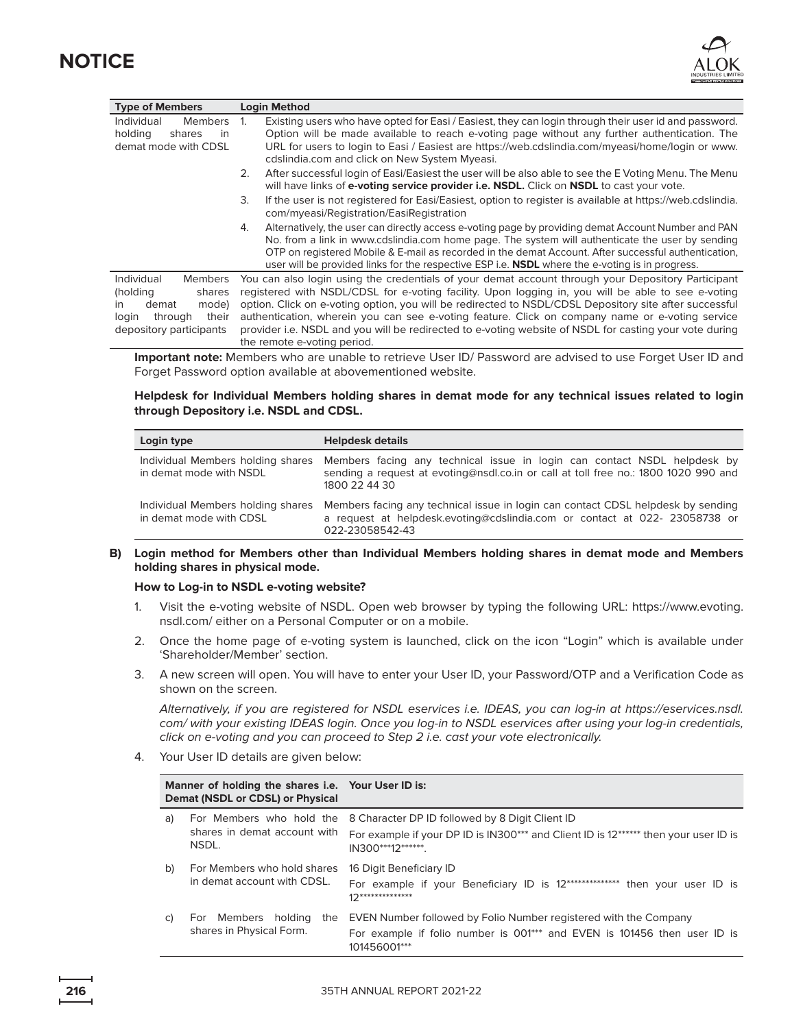



| <b>Type of Members</b>                                                                                                                       | <b>Login Method</b>                                                                                                                                                                                                                                                                                                                                                                                                                                                                                                                                            |  |  |  |
|----------------------------------------------------------------------------------------------------------------------------------------------|----------------------------------------------------------------------------------------------------------------------------------------------------------------------------------------------------------------------------------------------------------------------------------------------------------------------------------------------------------------------------------------------------------------------------------------------------------------------------------------------------------------------------------------------------------------|--|--|--|
| Members 1.<br>Individual<br>holding<br>shares<br>in<br>demat mode with CDSL                                                                  | Existing users who have opted for Easi / Easiest, they can login through their user id and password.<br>Option will be made available to reach e-voting page without any further authentication. The<br>URL for users to login to Easi / Easiest are https://web.cdslindia.com/myeasi/home/login or www.<br>cdslindia.com and click on New System Myeasi.                                                                                                                                                                                                      |  |  |  |
|                                                                                                                                              | After successful login of Easi/Easiest the user will be also able to see the E Voting Menu. The Menu<br>2.<br>will have links of <b>e-voting service provider i.e. NSDL.</b> Click on <b>NSDL</b> to cast your vote.                                                                                                                                                                                                                                                                                                                                           |  |  |  |
|                                                                                                                                              | If the user is not registered for Easi/Easiest, option to register is available at https://web.cdslindia.<br>3.<br>com/myeasi/Registration/EasiRegistration                                                                                                                                                                                                                                                                                                                                                                                                    |  |  |  |
|                                                                                                                                              | Alternatively, the user can directly access e-voting page by providing demat Account Number and PAN<br>4.<br>No. from a link in www.cdslindia.com home page. The system will authenticate the user by sending<br>OTP on registered Mobile & E-mail as recorded in the demat Account. After successful authentication,<br>user will be provided links for the respective ESP i.e. <b>NSDL</b> where the e-voting is in progress.                                                                                                                                |  |  |  |
| Individual<br><b>Members</b><br>(holding<br>shares<br>mode)<br>demat<br>$\mathsf{I}$<br>their<br>through<br>login<br>depository participants | You can also login using the credentials of your demat account through your Depository Participant<br>registered with NSDL/CDSL for e-voting facility. Upon logging in, you will be able to see e-voting<br>option. Click on e-voting option, you will be redirected to NSDL/CDSL Depository site after successful<br>authentication, wherein you can see e-voting feature. Click on company name or e-voting service<br>provider i.e. NSDL and you will be redirected to e-voting website of NSDL for casting your vote during<br>the remote e-voting period. |  |  |  |
|                                                                                                                                              | Important note: Members who are unable to retrieve Heer ID/ Password are advised to use Ferget Heer ID and                                                                                                                                                                                                                                                                                                                                                                                                                                                     |  |  |  |

 **Important note:** Members who are unable to retrieve User ID/ Password are advised to use Forget User ID and Forget Password option available at abovementioned website.

#### **Helpdesk for Individual Members holding shares in demat mode for any technical issues related to login through Depository i.e. NSDL and CDSL.**

| Login type                                                   | <b>Helpdesk details</b>                                                                                                                                                           |
|--------------------------------------------------------------|-----------------------------------------------------------------------------------------------------------------------------------------------------------------------------------|
| Individual Members holding shares<br>in demat mode with NSDL | Members facing any technical issue in login can contact NSDL helpdesk by<br>sending a request at evoting@nsdl.co.in or call at toll free no.: 1800 1020 990 and<br>1800 22 44 30  |
| Individual Members holding shares<br>in demat mode with CDSL | Members facing any technical issue in login can contact CDSL helpdesk by sending<br>a request at helpdesk.evoting@cdslindia.com or contact at 022- 23058738 or<br>022-23058542-43 |

### **B) Login method for Members other than Individual Members holding shares in demat mode and Members holding shares in physical mode.**

#### **How to Log-in to NSDL e-voting website?**

- 1. Visit the e-voting website of NSDL. Open web browser by typing the following URL: [https://www.evoting.](https://www.evoting.nsdl.com) [nsdl.com/](https://www.evoting.nsdl.com) either on a Personal Computer or on a mobile.
- 2. Once the home page of e-voting system is launched, click on the icon "Login" which is available under 'Shareholder/Member' section.
- 3. A new screen will open. You will have to enter your User ID, your Password/OTP and a Verification Code as shown on the screen.

 Alternatively, if you are registered for NSDL eservices i.e. IDEAS, you can log-in at [https://eservices.nsdl.](https://eservices.nsdl.com) [com](https://eservices.nsdl.com)/ with your existing IDEAS login. Once you log-in to NSDL eservices after using your log-in credentials, click on e-voting and you can proceed to Step 2 i.e. cast your vote electronically.

4. Your User ID details are given below:

| Manner of holding the shares i.e. Your User ID is:<br>Demat (NSDL or CDSL) or Physical |                                                                   |                                                                                                                                                               |
|----------------------------------------------------------------------------------------|-------------------------------------------------------------------|---------------------------------------------------------------------------------------------------------------------------------------------------------------|
| a)                                                                                     | For Members who hold the<br>shares in demat account with<br>NSDL. | 8 Character DP ID followed by 8 Digit Client ID<br>For example if your DP ID is IN300*** and Client ID is 12****** then your user ID is<br>IN300***12*******. |
| b)                                                                                     | For Members who hold shares<br>in demat account with CDSL.        | 16 Digit Beneficiary ID<br>For example if your Beneficiary ID is 12***************<br>then your user ID is<br>$12*******************$                         |
| C)                                                                                     | For Members holding<br>the<br>shares in Physical Form.            | EVEN Number followed by Folio Number registered with the Company<br>For example if folio number is 001*** and EVEN is 101456 then user ID is<br>101456001***  |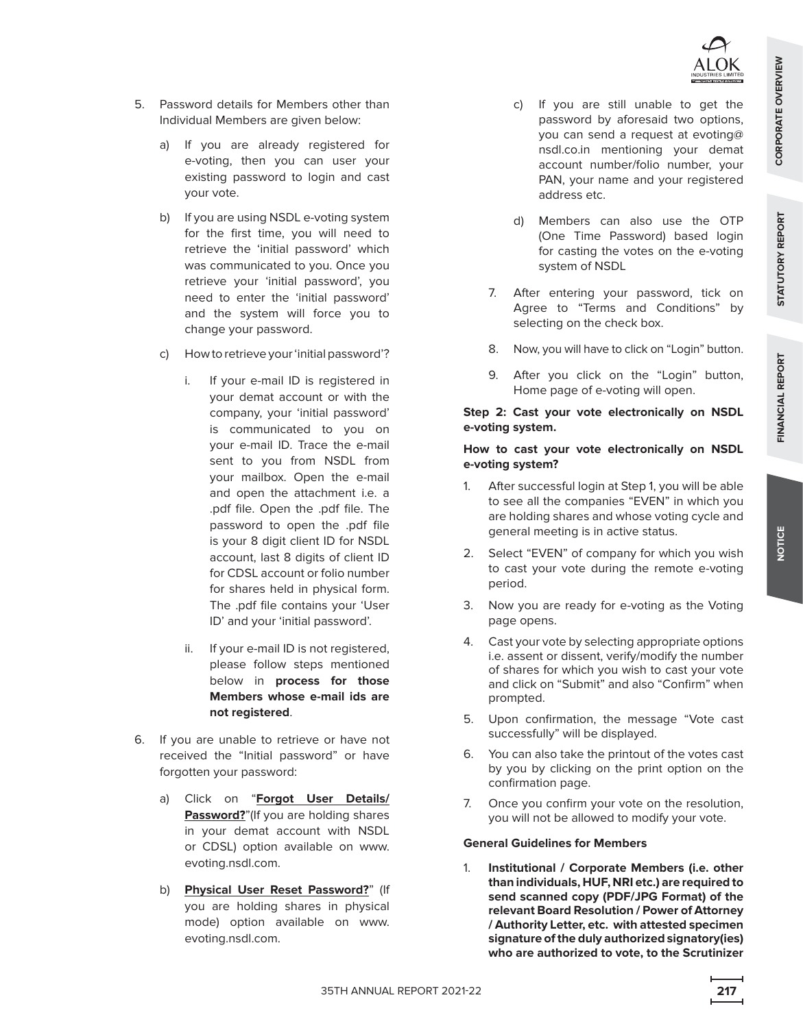

- 5. Password details for Members other than Individual Members are given below:
	- a) If you are already registered for e-voting, then you can user your existing password to login and cast your vote.
	- b) If you are using NSDL e-voting system for the first time, you will need to retrieve the 'initial password' which was communicated to you. Once you retrieve your 'initial password', you need to enter the 'initial password' and the system will force you to change your password.
	- c) How to retrieve your 'initial password'?
		- i. If your e-mail ID is registered in your demat account or with the company, your 'initial password' is communicated to you on your e-mail ID. Trace the e-mail sent to you from NSDL from your mailbox. Open the e-mail and open the attachment i.e. a .pdf file. Open the .pdf file. The password to open the .pdf file is your 8 digit client ID for NSDL account, last 8 digits of client ID for CDSL account or folio number for shares held in physical form. The .pdf file contains your 'User ID' and your 'initial password'.
		- ii. If your e-mail ID is not registered, please follow steps mentioned below in **process for those Members whose e-mail ids are not registered**.
- 6. If you are unable to retrieve or have not received the "Initial password" or have forgotten your password:
	- a) Click on "**Forgot User Details/ Password?**"(If you are holding shares in your demat account with NSDL or CDSL) option available on [www.](www.evoting.nsdl.com) [evoting.nsdl.com](www.evoting.nsdl.com).
	- b) **Physical User Reset Password?**" (If you are holding shares in physical mode) option available on [www.](www.evoting.nsdl.com) [evoting.nsdl.com](www.evoting.nsdl.com).
- c) If you are still unable to get the password by aforesaid two options, you can send a request at [evoting@](mailto:evoting@nsdl.co.in) [nsdl.co.in](mailto:evoting@nsdl.co.in) mentioning your demat account number/folio number, your PAN, your name and your registered address etc.
- d) Members can also use the OTP (One Time Password) based login for casting the votes on the e-voting system of NSDL
- 7. After entering your password, tick on Agree to "Terms and Conditions" by selecting on the check box.
- 8. Now, you will have to click on "Login" button.
- 9. After you click on the "Login" button, Home page of e-voting will open.

## **Step 2: Cast your vote electronically on NSDL e-voting system.**

## **How to cast your vote electronically on NSDL e-voting system?**

- 1. After successful login at Step 1, you will be able to see all the companies "EVEN" in which you are holding shares and whose voting cycle and general meeting is in active status.
- 2. Select "EVEN" of company for which you wish to cast your vote during the remote e-voting period.
- 3. Now you are ready for e-voting as the Voting page opens.
- 4. Cast your vote by selecting appropriate options i.e. assent or dissent, verify/modify the number of shares for which you wish to cast your vote and click on "Submit" and also "Confirm" when prompted.
- 5. Upon confirmation, the message "Vote cast successfully" will be displayed.
- 6. You can also take the printout of the votes cast by you by clicking on the print option on the confirmation page.
- 7. Once you confirm your vote on the resolution, you will not be allowed to modify your vote.

## **General Guidelines for Members**

 1. **Institutional / Corporate Members (i.e. other than individuals, HUF, NRI etc.) are required to send scanned copy (PDF/JPG Format) of the relevant Board Resolution / Power of Attorney / Authority Letter, etc. with attested specimen signature of the duly authorized signatory(ies) who are authorized to vote, to the Scrutinizer** 

STATUTORY REPORT

FINANCIAL REPORT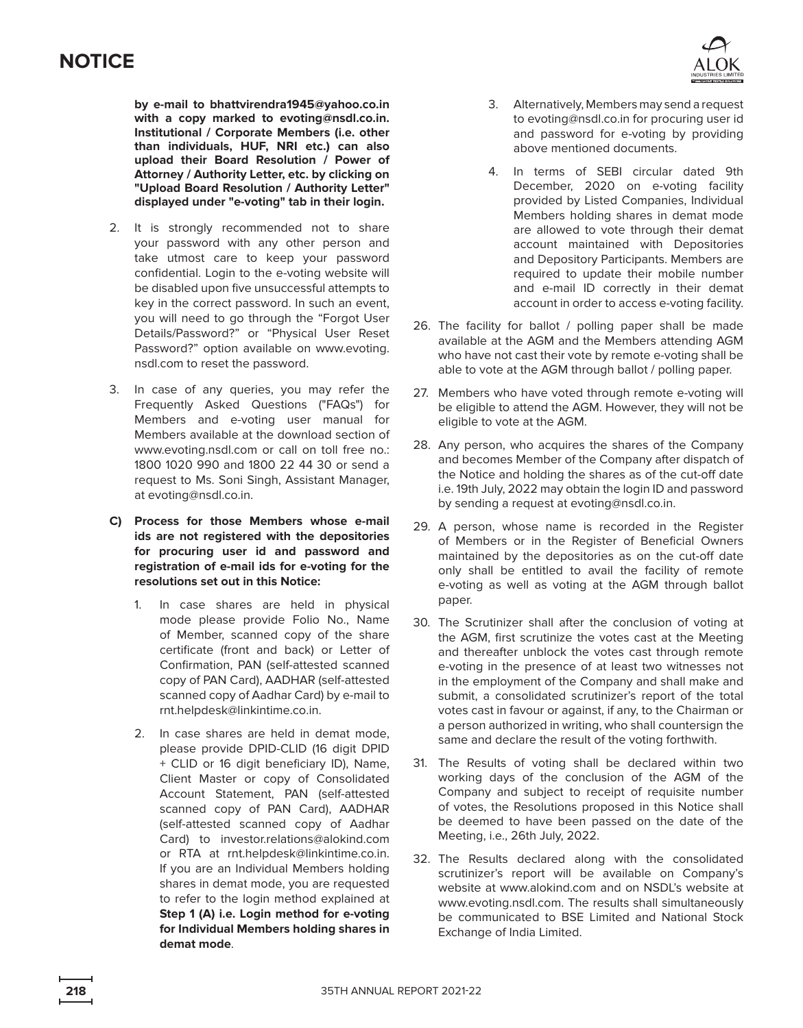**by e-mail to [bhattvirendra1945@yahoo.co.in](mailto:bhattvirendra1945@yahoo.co.in) with a copy marked to [evoting@nsdl.co.in](mailto:evoting@nsdl.co.in). Institutional / Corporate Members (i.e. other than individuals, HUF, NRI etc.) can also upload their Board Resolution / Power of Attorney / Authority Letter, etc. by clicking on "Upload Board Resolution / Authority Letter" displayed under "e-voting" tab in their login.**

- 2. It is strongly recommended not to share your password with any other person and take utmost care to keep your password confidential. Login to the e-voting website will be disabled upon five unsuccessful attempts to key in the correct password. In such an event, you will need to go through the "Forgot User Details/Password?" or "Physical User Reset Password?" option available on [www.evoting.](www.evoting.nsdl.com) [nsdl.com](www.evoting.nsdl.com) to reset the password.
- 3. In case of any queries, you may refer the Frequently Asked Questions ("FAQs") for Members and e-voting user manual for Members available at the download section of <www.evoting.nsdl.com>or call on toll free no.: 1800 1020 990 and 1800 22 44 30 or send a request to Ms. Soni Singh, Assistant Manager, at [evoting@nsdl.co.in.](mailto:evoting@nsdl.co.in)
- **C) Process for those Members whose e-mail ids are not registered with the depositories for procuring user id and password and registration of e-mail ids for e-voting for the resolutions set out in this Notice:**
	- 1. In case shares are held in physical mode please provide Folio No., Name of Member, scanned copy of the share certificate (front and back) or Letter of Confirmation, PAN (self-attested scanned copy of PAN Card), AADHAR (self-attested scanned copy of Aadhar Card) by e-mail to rnt.helpdes[k@](mailto:investor.relations@alokind.com)linkintime.co.in.
	- 2. In case shares are held in demat mode, please provide DPID-CLID (16 digit DPID + CLID or 16 digit beneficiary ID), Name, Client Master or copy of Consolidated Account Statement, PAN (self-attested scanned copy of PAN Card), AADHAR (self-attested scanned copy of Aadhar Card) to [investor.relations@alokind.com](mailto:investor.relations@alokind.com) or RTA at [rnt.helpdesk@linkintime.co.in](mailto:rnt.helpdesk@linkintime.co.in). If you are an Individual Members holding shares in demat mode, you are requested to refer to the login method explained at **Step 1 (A) i.e. Login method for e-voting for Individual Members holding shares in demat mode**.



- 3. Alternatively, Members may send a request to [evoting@nsdl.co.in](mailto:evoting@nsdl.co.in) for procuring user id and password for e-voting by providing above mentioned documents.
- 4. In terms of SEBI circular dated 9th December, 2020 on e-voting facility provided by Listed Companies, Individual Members holding shares in demat mode are allowed to vote through their demat account maintained with Depositories and Depository Participants. Members are required to update their mobile number and e-mail ID correctly in their demat account in order to access e-voting facility.
- 26. The facility for ballot / polling paper shall be made available at the AGM and the Members attending AGM who have not cast their vote by remote e-voting shall be able to vote at the AGM through ballot / polling paper.
- 27. Members who have voted through remote e-voting will be eligible to attend the AGM. However, they will not be eligible to vote at the AGM.
- 28. Any person, who acquires the shares of the Company and becomes Member of the Company after dispatch of the Notice and holding the shares as of the cut-off date i.e. 19th July, 2022 may obtain the login ID and password by sending a request at [evoting@nsdl.co.in.](mailto:evoting@nsdl.co.in)
- 29. A person, whose name is recorded in the Register of Members or in the Register of Beneficial Owners maintained by the depositories as on the cut-off date only shall be entitled to avail the facility of remote e-voting as well as voting at the AGM through ballot paper.
- 30. The Scrutinizer shall after the conclusion of voting at the AGM, first scrutinize the votes cast at the Meeting and thereafter unblock the votes cast through remote e-voting in the presence of at least two witnesses not in the employment of the Company and shall make and submit, a consolidated scrutinizer's report of the total votes cast in favour or against, if any, to the Chairman or a person authorized in writing, who shall countersign the same and declare the result of the voting forthwith.
- 31. The Results of voting shall be declared within two working days of the conclusion of the AGM of the Company and subject to receipt of requisite number of votes, the Resolutions proposed in this Notice shall be deemed to have been passed on the date of the Meeting, i.e., 26th July, 2022.
- 32. The Results declared along with the consolidated scrutinizer's report will be available on Company's website at <www.alokind.com>and on NSDL's website at [www.evoting.nsdl.com.](www.evoting.nsdl.com) The results shall simultaneously be communicated to BSE Limited and National Stock Exchange of India Limited.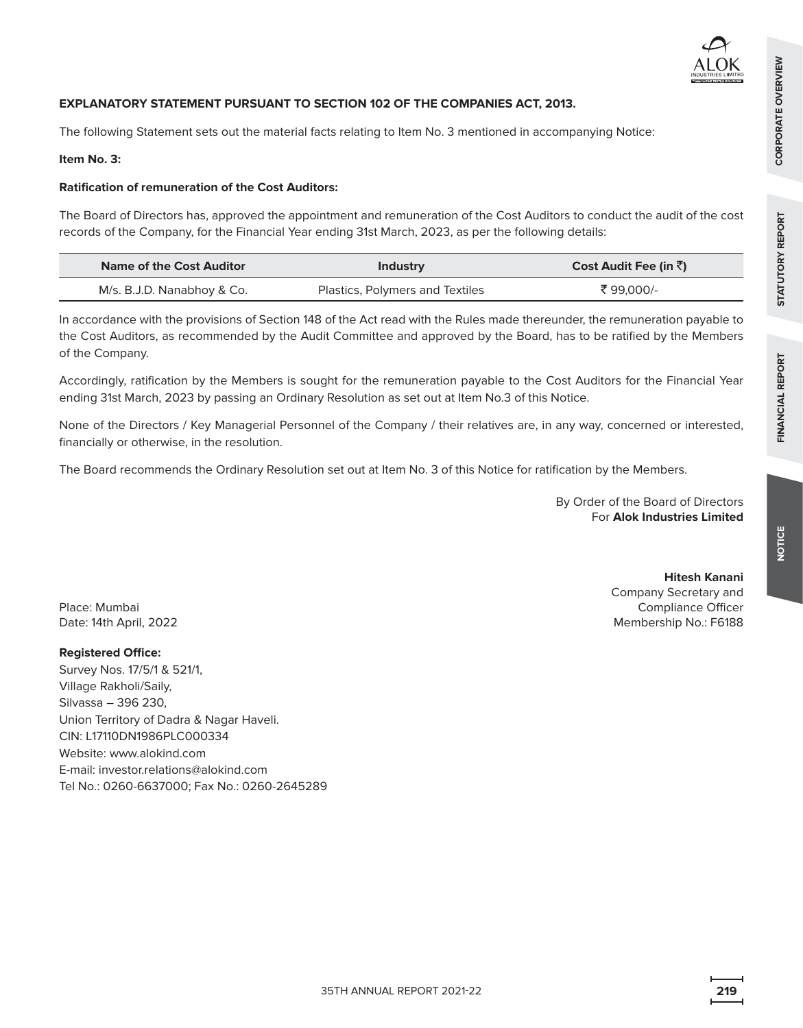## **EXPLANATORY STATEMENT PURSUANT TO SECTION 102 OF THE COMPANIES ACT, 2013.**

The following Statement sets out the material facts relating to Item No. 3 mentioned in accompanying Notice:

## **Item No. 3:**

## **Ratification of remuneration of the Cost Auditors:**

The Board of Directors has, approved the appointment and remuneration of the Cost Auditors to conduct the audit of the cost records of the Company, for the Financial Year ending 31st March, 2023, as per the following details:

| Name of the Cost Auditor   | Industry                        | Cost Audit Fee (in ₹) |
|----------------------------|---------------------------------|-----------------------|
| M/s. B.J.D. Nanabhoy & Co. | Plastics, Polymers and Textiles | ₹99.000/-             |

In accordance with the provisions of Section 148 of the Act read with the Rules made thereunder, the remuneration payable to the Cost Auditors, as recommended by the Audit Committee and approved by the Board, has to be ratified by the Members of the Company.

Accordingly, ratification by the Members is sought for the remuneration payable to the Cost Auditors for the Financial Year ending 31st March, 2023 by passing an Ordinary Resolution as set out at Item No.3 of this Notice.

None of the Directors / Key Managerial Personnel of the Company / their relatives are, in any way, concerned or interested, financially or otherwise, in the resolution.

The Board recommends the Ordinary Resolution set out at Item No. 3 of this Notice for ratification by the Members.

By Order of the Board of Directors For **Alok Industries Limited**

**Hitesh Kanani**

Company Secretary and Compliance Officer Membership No.: F6188 **NOTICE**

**FINANCIAL REPORT STATUTORY REPORT CORPORATE OVERVIEW**

**STATUTORY REPORT** 

FINANCIAL REPORT

CORPORATE OVERVIEW

Place: Mumbai Date: 14th April, 2022

### **Registered Office:**

Survey Nos. 17/5/1 & 521/1, Village Rakholi/Saily, Silvassa – 396 230, Union Territory of Dadra & Nagar Haveli. CIN: L17110DN1986PLC000334 Website: <www.alokind.com> E-mail: [investor.relations@alokind.com](mailto:investor.relations@alokind.com)  Tel No.: 0260-6637000; Fax No.: 0260-2645289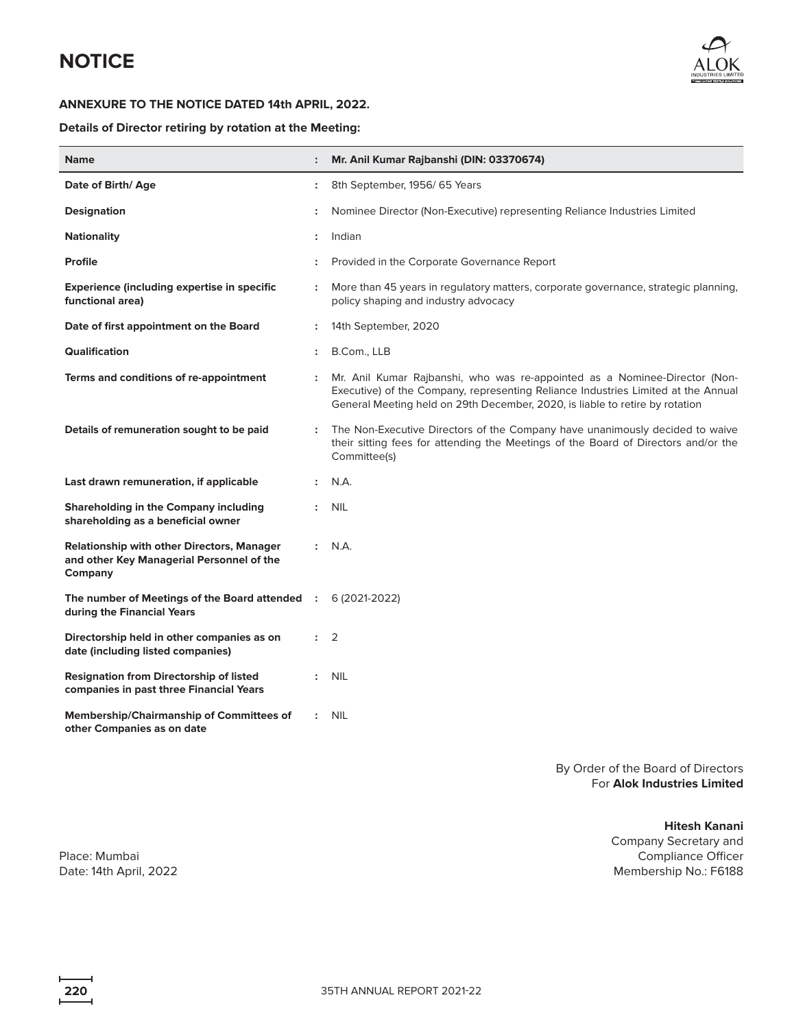

## **ANNEXURE TO THE NOTICE DATED 14th APRIL, 2022.**

## **Details of Director retiring by rotation at the Meeting:**

| <b>Name</b>                                                                                        |                      | Mr. Anil Kumar Rajbanshi (DIN: 03370674)                                                                                                                                                                                                        |
|----------------------------------------------------------------------------------------------------|----------------------|-------------------------------------------------------------------------------------------------------------------------------------------------------------------------------------------------------------------------------------------------|
| Date of Birth/Age                                                                                  | $\ddot{\phantom{a}}$ | 8th September, 1956/65 Years                                                                                                                                                                                                                    |
| <b>Designation</b>                                                                                 |                      | Nominee Director (Non-Executive) representing Reliance Industries Limited                                                                                                                                                                       |
| <b>Nationality</b>                                                                                 |                      | Indian                                                                                                                                                                                                                                          |
| <b>Profile</b>                                                                                     |                      | Provided in the Corporate Governance Report                                                                                                                                                                                                     |
| Experience (including expertise in specific<br>functional area)                                    | $\ddot{\phantom{a}}$ | More than 45 years in regulatory matters, corporate governance, strategic planning,<br>policy shaping and industry advocacy                                                                                                                     |
| Date of first appointment on the Board                                                             | $\ddot{\phantom{a}}$ | 14th September, 2020                                                                                                                                                                                                                            |
| Qualification                                                                                      | $\ddot{\phantom{a}}$ | B.Com., LLB                                                                                                                                                                                                                                     |
| Terms and conditions of re-appointment                                                             |                      | Mr. Anil Kumar Rajbanshi, who was re-appointed as a Nominee-Director (Non-<br>Executive) of the Company, representing Reliance Industries Limited at the Annual<br>General Meeting held on 29th December, 2020, is liable to retire by rotation |
| Details of remuneration sought to be paid                                                          |                      | The Non-Executive Directors of the Company have unanimously decided to waive<br>their sitting fees for attending the Meetings of the Board of Directors and/or the<br>Committee(s)                                                              |
| Last drawn remuneration, if applicable                                                             |                      | N.A.                                                                                                                                                                                                                                            |
| Shareholding in the Company including<br>shareholding as a beneficial owner                        | $\ddot{\phantom{a}}$ | <b>NIL</b>                                                                                                                                                                                                                                      |
| Relationship with other Directors, Manager<br>and other Key Managerial Personnel of the<br>Company | $\mathbf{r}$         | N.A.                                                                                                                                                                                                                                            |
| The number of Meetings of the Board attended<br>during the Financial Years                         |                      | 6 (2021-2022)                                                                                                                                                                                                                                   |
| Directorship held in other companies as on<br>date (including listed companies)                    | $\ddot{\phantom{a}}$ | 2                                                                                                                                                                                                                                               |
| <b>Resignation from Directorship of listed</b><br>companies in past three Financial Years          | $\ddot{\phantom{a}}$ | <b>NIL</b>                                                                                                                                                                                                                                      |
| <b>Membership/Chairmanship of Committees of</b><br>other Companies as on date                      |                      | <b>NIL</b>                                                                                                                                                                                                                                      |

By Order of the Board of Directors For **Alok Industries Limited**

**Hitesh Kanani**

Company Secretary and Compliance Officer Membership No.: F6188

Place: Mumbai Date: 14th April, 2022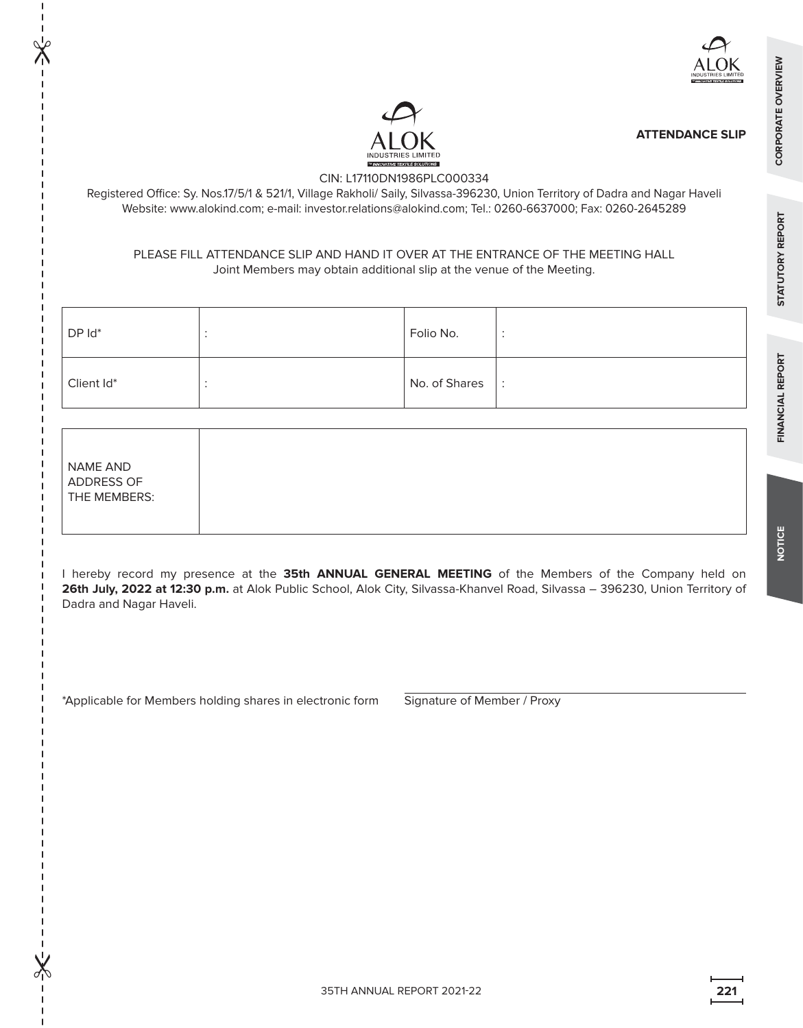

**ATTENDANCE SLIP**

## CIN: L17110DN1986PLC000334

Registered Office: Sy. Nos.17/5/1 & 521/1, Village Rakholi/ Saily, Silvassa-396230, Union Territory of Dadra and Nagar Haveli Website: [www.alokind.com;](www.alokind.com) e-mail: investor.relations[@alokind.com;](mailto:info@alokind.com) Tel.: 0260-6637000; Fax: 0260-2645289

## PLEASE FILL ATTENDANCE SLIP AND HAND IT OVER AT THE ENTRANCE OF THE MEETING HALL Joint Members may obtain additional slip at the venue of the Meeting.

| DP Id*     | Folio No.     |                      |
|------------|---------------|----------------------|
| Client Id* | No. of Shares | $\ddot{\phantom{a}}$ |

| NAME AND     |
|--------------|
| ADDRESS OF   |
| THE MEMBERS: |

 $\chi$ 

 $\chi$ 

I hereby record my presence at the **35th ANNUAL GENERAL MEETING** of the Members of the Company held on **26th July, 2022 at 12:30 p.m.** at Alok Public School, Alok City, Silvassa-Khanvel Road, Silvassa – 396230, Union Territory of Dadra and Nagar Haveli.

\*Applicable for Members holding shares in electronic form Signature of Member / Proxy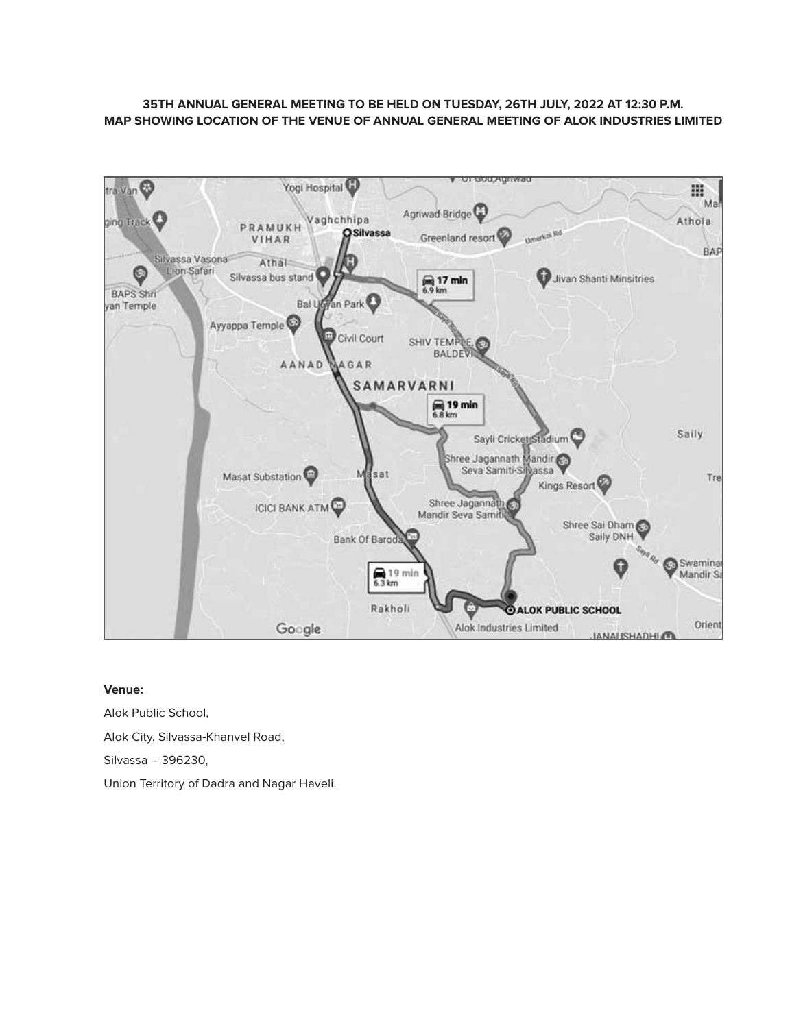## **35TH ANNUAL GENERAL MEETING TO BE HELD ON TUESDAY, 26TH JULY, 2022 AT 12:30 P.M. MAP SHOWING LOCATION OF THE VENUE OF ANNUAL GENERAL MEETING OF ALOK INDUSTRIES LIMITED**



## **Venue:**

Alok Public School, Alok City, Silvassa-Khanvel Road, Silvassa – 396230, Union Territory of Dadra and Nagar Haveli.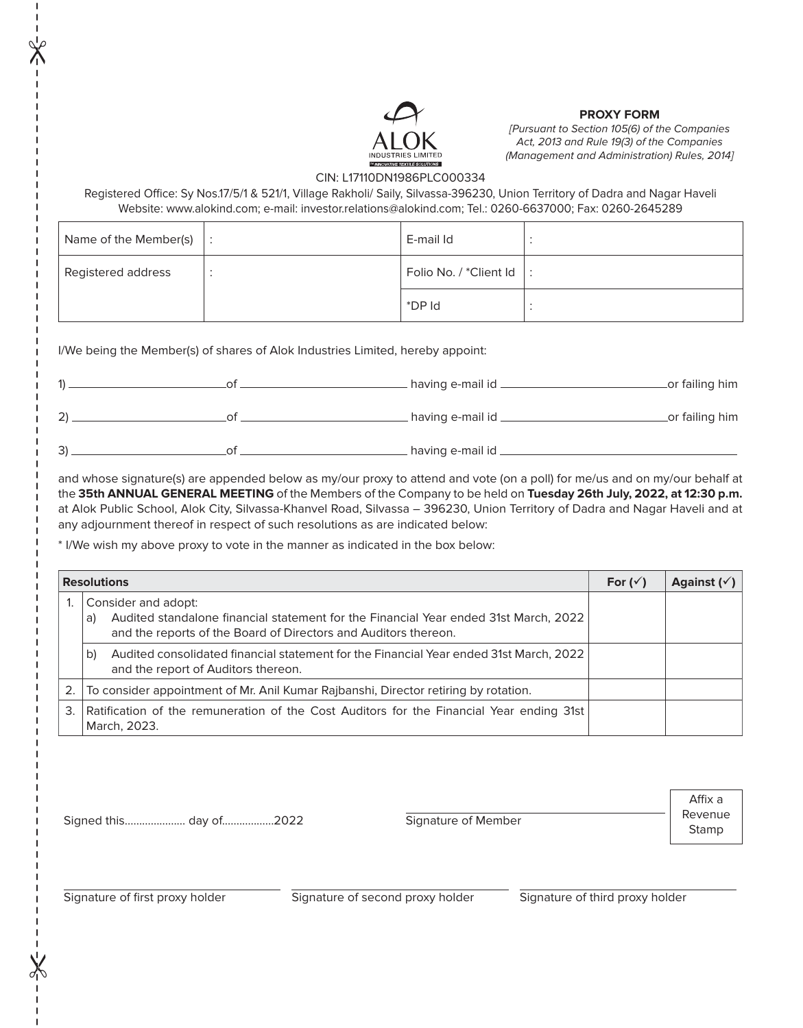

## **PROXY FORM**

[Pursuant to Section 105(6) of the Companies Act, 2013 and Rule 19(3) of the Companies (Management and Administration) Rules, 2014]

## CIN: L17110DN1986PLC000334

Registered Office: Sy Nos.17/5/1 & 521/1, Village Rakholi/ Saily, Silvassa-396230, Union Territory of Dadra and Nagar Haveli Website: [www.alokind.com;](www.alokind.com) e-mail: investor.relation[s@alokind.com;](mailto:info@alokind.com) Tel.: 0260-6637000; Fax: 0260-2645289

| Name of the Member(s) $\vert$ : | E-mail Id              |  |
|---------------------------------|------------------------|--|
| Registered address              | Folio No. / *Client Id |  |
|                                 | *DP Id                 |  |

I/We being the Member(s) of shares of Alok Industries Limited, hereby appoint:

| 1) | having e-mail id _   | _or failing him |
|----|----------------------|-----------------|
| 2) | . having e-mail id _ | _or failing him |
| 3) | having e-mail id _   |                 |

and whose signature(s) are appended below as my/our proxy to attend and vote (on a poll) for me/us and on my/our behalf at the **35th ANNUAL GENERAL MEETING** of the Members of the Company to be held on **Tuesday 26th July, 2022, at 12:30 p.m.**  at Alok Public School, Alok City, Silvassa-Khanvel Road, Silvassa – 396230, Union Territory of Dadra and Nagar Haveli and at any adjournment thereof in respect of such resolutions as are indicated below:

\* I/We wish my above proxy to vote in the manner as indicated in the box below:

|    | <b>Resolutions</b>                                                                                                                                                                   |  | Against $(\check{v})$ |
|----|--------------------------------------------------------------------------------------------------------------------------------------------------------------------------------------|--|-----------------------|
|    | Consider and adopt:<br>Audited standalone financial statement for the Financial Year ended 31st March, 2022<br>a)<br>and the reports of the Board of Directors and Auditors thereon. |  |                       |
|    | Audited consolidated financial statement for the Financial Year ended 31st March, 2022<br>b)<br>and the report of Auditors thereon.                                                  |  |                       |
|    | 2. To consider appointment of Mr. Anil Kumar Rajbanshi, Director retiring by rotation.                                                                                               |  |                       |
| 3. | Ratification of the remuneration of the Cost Auditors for the Financial Year ending 31st<br>March, 2023.                                                                             |  |                       |

Stamp Signed this..................... day of..................2022 Signature of Member

Affix a Revenue

 $\chi$ 

 $\mathbb{X}$ 

Signature of first proxy holder Signature of second proxy holder Signature of third proxy holder